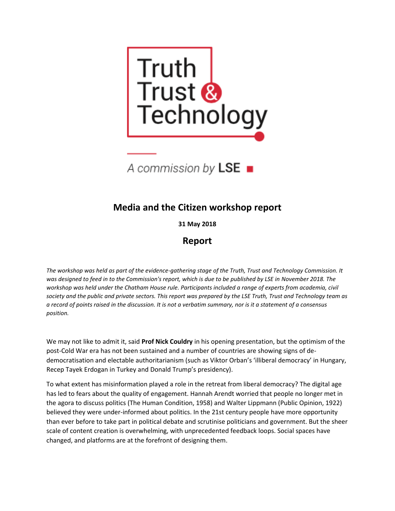



# **Media and the Citizen workshop report**

**31 May 2018**

# **Report**

*The workshop was held as part of the evidence-gathering stage of the Truth, Trust and Technology Commission. It was designed to feed in to the Commission's report, which is due to be published by LSE in November 2018. The workshop was held under the Chatham House rule. Participants included a range of experts from academia, civil society and the public and private sectors. This report was prepared by the LSE Truth, Trust and Technology team as a record of points raised in the discussion. It is not a verbatim summary, nor is it a statement of a consensus position.* 

We may not like to admit it, said **Prof Nick Couldry** in his opening presentation, but the optimism of the post-Cold War era has not been sustained and a number of countries are showing signs of dedemocratisation and electable authoritarianism (such as Viktor Orban's 'illiberal democracy' in Hungary, Recep Tayek Erdogan in Turkey and Donald Trump's presidency).

To what extent has misinformation played a role in the retreat from liberal democracy? The digital age has led to fears about the quality of engagement. Hannah Arendt worried that people no longer met in the agora to discuss politics (The Human Condition, 1958) and Walter Lippmann (Public Opinion, 1922) believed they were under-informed about politics. In the 21st century people have more opportunity than ever before to take part in political debate and scrutinise politicians and government. But the sheer scale of content creation is overwhelming, with unprecedented feedback loops. Social spaces have changed, and platforms are at the forefront of designing them.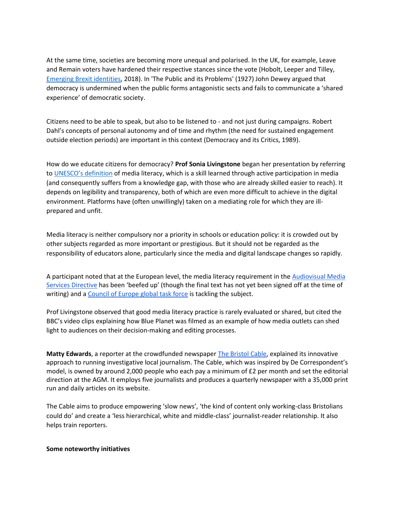At the same time, societies are becoming more unequal and polarised. In the UK, for example, Leave and Remain voters have hardened their respective stances since the vote (Hobolt, Leeper and Tilley, [Emerging Brexit identities,](http://ukandeu.ac.uk/wp-content/uploads/2018/01/Public-Opinion.pdf) 2018). In 'The Public and its Problems' (1927) John Dewey argued that democracy is undermined when the public forms antagonistic sects and fails to communicate a 'shared experience' of democratic society.

Citizens need to be able to speak, but also to be listened to - and not just during campaigns. Robert Dahl's concepts of personal autonomy and of time and rhythm (the need for sustained engagement outside election periods) are important in this context (Democracy and its Critics, 1989).

How do we educate citizens for democracy? **Prof Sonia Livingstone** began her presentation by referring to [UNESCO's definition](http://www.unesco.org/new/fileadmin/MULTIMEDIA/HQ/CI/CI/pdf/Events/mil_five_laws_english.png) of media literacy, which is a skill learned through active participation in media (and consequently suffers from a knowledge gap, with those who are already skilled easier to reach). It depends on legibility and transparency, both of which are even more difficult to achieve in the digital environment. Platforms have (often unwillingly) taken on a mediating role for which they are illprepared and unfit.

Media literacy is neither compulsory nor a priority in schools or education policy: it is crowded out by other subjects regarded as more important or prestigious. But it should not be regarded as the responsibility of educators alone, particularly since the media and digital landscape changes so rapidly.

A participant noted that at the European level, the media literacy requirement in the Audiovisual Media [Services Directive](https://ec.europa.eu/digital-single-market/en/audiovisual-media-services-directive-avmsd) has been 'beefed up' (though the final text has not yet been signed off at the time of writing) and a [Council of Europe global task force](https://rm.coe.int/the-media-literacy-task-force-short-report/168077da09) is tackling the subject.

Prof Livingstone observed that good media literacy practice is rarely evaluated or shared, but cited the BBC's video clips explaining how Blue Planet was filmed as an example of how media outlets can shed light to audiences on their decision-making and editing processes.

**Matty Edwards**, a reporter at the crowdfunded newspaper [The Bristol Cable,](https://thebristolcable.org/) explained its innovative approach to running investigative local journalism. The Cable, which was inspired by De Correspondent's model, is owned by around 2,000 people who each pay a minimum of £2 per month and set the editorial direction at the AGM. It employs five journalists and produces a quarterly newspaper with a 35,000 print run and daily articles on its website.

The Cable aims to produce empowering 'slow news', 'the kind of content only working-class Bristolians could do' and create a 'less hierarchical, white and middle-class' journalist-reader relationship. It also helps train reporters.

#### **Some noteworthy initiatives**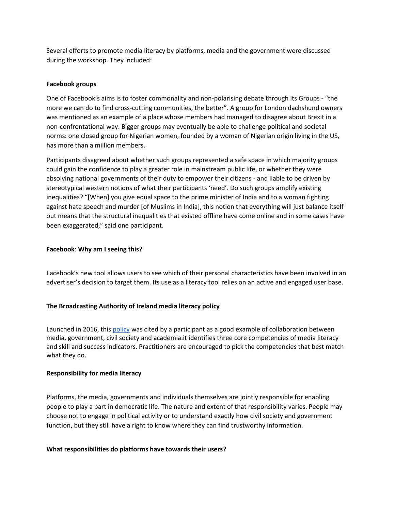Several efforts to promote media literacy by platforms, media and the government were discussed during the workshop. They included:

#### **Facebook groups**

One of Facebook's aims is to foster commonality and non-polarising debate through its Groups - "the more we can do to find cross-cutting communities, the better". A group for London dachshund owners was mentioned as an example of a place whose members had managed to disagree about Brexit in a non-confrontational way. Bigger groups may eventually be able to challenge political and societal norms: one closed group for Nigerian women, founded by a woman of Nigerian origin living in the US, has more than a million members.

Participants disagreed about whether such groups represented a safe space in which majority groups could gain the confidence to play a greater role in mainstream public life, or whether they were absolving national governments of their duty to empower their citizens - and liable to be driven by stereotypical western notions of what their participants 'need'. Do such groups amplify existing inequalities? "[When] you give equal space to the prime minister of India and to a woman fighting against hate speech and murder [of Muslims in India], this notion that everything will just balance itself out means that the structural inequalities that existed offline have come online and in some cases have been exaggerated," said one participant.

#### **Facebook**: **Why am I seeing this?**

Facebook's new tool allows users to see which of their personal characteristics have been involved in an advertiser's decision to target them. Its use as a literacy tool relies on an active and engaged user base.

## **The Broadcasting Authority of Ireland media literacy policy**

Launched in 2016, thi[s policy](http://www.bai.ie/en/download/131565/) was cited by a participant as a good example of collaboration between media, government, civil society and academia.it identifies three core competencies of media literacy and skill and success indicators. Practitioners are encouraged to pick the competencies that best match what they do.

#### **Responsibility for media literacy**

Platforms, the media, governments and individuals themselves are jointly responsible for enabling people to play a part in democratic life. The nature and extent of that responsibility varies. People may choose not to engage in political activity or to understand exactly how civil society and government function, but they still have a right to know where they can find trustworthy information.

#### **What responsibilities do platforms have towards their users?**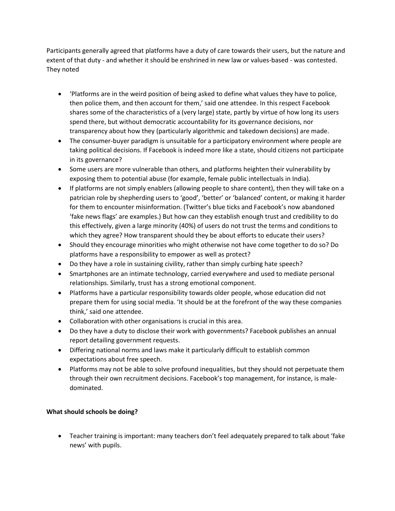Participants generally agreed that platforms have a duty of care towards their users, but the nature and extent of that duty - and whether it should be enshrined in new law or values-based - was contested. They noted

- 'Platforms are in the weird position of being asked to define what values they have to police, then police them, and then account for them,' said one attendee. In this respect Facebook shares some of the characteristics of a (very large) state, partly by virtue of how long its users spend there, but without democratic accountability for its governance decisions, nor transparency about how they (particularly algorithmic and takedown decisions) are made.
- The consumer-buyer paradigm is unsuitable for a participatory environment where people are taking political decisions. If Facebook is indeed more like a state, should citizens not participate in its governance?
- Some users are more vulnerable than others, and platforms heighten their vulnerability by exposing them to potential abuse (for example, female public intellectuals in India).
- If platforms are not simply enablers (allowing people to share content), then they will take on a patrician role by shepherding users to 'good', 'better' or 'balanced' content, or making it harder for them to encounter misinformation. (Twitter's blue ticks and Facebook's now abandoned 'fake news flags' are examples.) But how can they establish enough trust and credibility to do this effectively, given a large minority (40%) of users do not trust the terms and conditions to which they agree? How transparent should they be about efforts to educate their users?
- Should they encourage minorities who might otherwise not have come together to do so? Do platforms have a responsibility to empower as well as protect?
- Do they have a role in sustaining civility, rather than simply curbing hate speech?
- Smartphones are an intimate technology, carried everywhere and used to mediate personal relationships. Similarly, trust has a strong emotional component.
- Platforms have a particular responsibility towards older people, whose education did not prepare them for using social media. 'It should be at the forefront of the way these companies think,' said one attendee.
- Collaboration with other organisations is crucial in this area.
- Do they have a duty to disclose their work with governments? Facebook publishes an annual report detailing government requests.
- Differing national norms and laws make it particularly difficult to establish common expectations about free speech.
- Platforms may not be able to solve profound inequalities, but they should not perpetuate them through their own recruitment decisions. Facebook's top management, for instance, is maledominated.

# **What should schools be doing?**

 Teacher training is important: many teachers don't feel adequately prepared to talk about 'fake news' with pupils.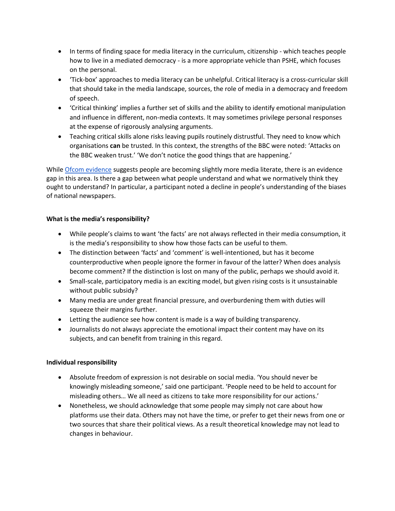- In terms of finding space for media literacy in the curriculum, citizenship which teaches people how to live in a mediated democracy - is a more appropriate vehicle than PSHE, which focuses on the personal.
- 'Tick-box' approaches to media literacy can be unhelpful. Critical literacy is a cross-curricular skill that should take in the media landscape, sources, the role of media in a democracy and freedom of speech.
- 'Critical thinking' implies a further set of skills and the ability to identify emotional manipulation and influence in different, non-media contexts. It may sometimes privilege personal responses at the expense of rigorously analysing arguments.
- Teaching critical skills alone risks leaving pupils routinely distrustful. They need to know which organisations **can** be trusted. In this context, the strengths of the BBC were noted: 'Attacks on the BBC weaken trust.' 'We don't notice the good things that are happening.'

Whil[e Ofcom evidence](https://www.ofcom.org.uk/research-and-data/media-literacy-research/adults/adults-media-use-and-attitudes) suggests people are becoming slightly more media literate, there is an evidence gap in this area. Is there a gap between what people understand and what we normatively think they ought to understand? In particular, a participant noted a decline in people's understanding of the biases of national newspapers.

#### **What is the media's responsibility?**

- While people's claims to want 'the facts' are not always reflected in their media consumption, it is the media's responsibility to show how those facts can be useful to them.
- The distinction between 'facts' and 'comment' is well-intentioned, but has it become counterproductive when people ignore the former in favour of the latter? When does analysis become comment? If the distinction is lost on many of the public, perhaps we should avoid it.
- Small-scale, participatory media is an exciting model, but given rising costs is it unsustainable without public subsidy?
- Many media are under great financial pressure, and overburdening them with duties will squeeze their margins further.
- Letting the audience see how content is made is a way of building transparency.
- Journalists do not always appreciate the emotional impact their content may have on its subjects, and can benefit from training in this regard.

## **Individual responsibility**

- Absolute freedom of expression is not desirable on social media. 'You should never be knowingly misleading someone,' said one participant. 'People need to be held to account for misleading others… We all need as citizens to take more responsibility for our actions.'
- Nonetheless, we should acknowledge that some people may simply not care about how platforms use their data. Others may not have the time, or prefer to get their news from one or two sources that share their political views. As a result theoretical knowledge may not lead to changes in behaviour.